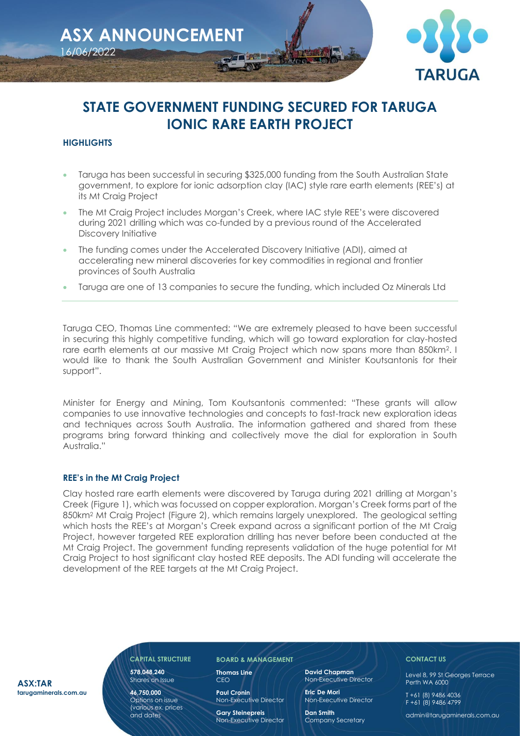

# **STATE GOVERNMENT FUNDING SECURED FOR TARUGA IONIC RARE EARTH PROJECT**

# **HIGHLIGHTS**

- Taruga has been successful in securing \$325,000 funding from the South Australian State government, to explore for ionic adsorption clay (IAC) style rare earth elements (REE's) at its Mt Craig Project
- The Mt Craig Project includes Morgan's Creek, where IAC style REE's were discovered during 2021 drilling which was co-funded by a previous round of the Accelerated Discovery Initiative
- The funding comes under the Accelerated Discovery Initiative (ADI), aimed at accelerating new mineral discoveries for key commodities in regional and frontier provinces of South Australia
- Taruga are one of 13 companies to secure the funding, which included Oz Minerals Ltd

Taruga CEO, Thomas Line commented: "We are extremely pleased to have been successful in securing this highly competitive funding, which will go toward exploration for clay-hosted rare earth elements at our massive Mt Craig Project which now spans more than 850km2. I would like to thank the South Australian Government and Minister Koutsantonis for their support".

Minister for Energy and Mining, Tom Koutsantonis commented: "These grants will allow companies to use innovative technologies and concepts to fast-track new exploration ideas and techniques across South Australia. The information gathered and shared from these programs bring forward thinking and collectively move the dial for exploration in South Australia."

## **REE's in the Mt Craig Project**

Clay hosted rare earth elements were discovered by Taruga during 2021 drilling at Morgan's Creek (Figure 1), which was focussed on copper exploration. Morgan's Creek forms part of the 850km<sup>2</sup> Mt Craig Project (Figure 2), which remains largely unexplored. The geological setting which hosts the REE's at Morgan's Creek expand across a significant portion of the Mt Craig Project, however targeted REE exploration drilling has never before been conducted at the Mt Craig Project. The government funding represents validation of the huge potential for Mt Craig Project to host significant clay hosted REE deposits. The ADI funding will accelerate the development of the REE targets at the Mt Craig Project.

**ASX:TAR tarugaminerals.com.au**

# **578,048,240**

Shares on Issue **46,750,000**

Options on issue (various ex. prices and dates

#### **CAPITAL STRUCTURE BOARD & MANAGEMENT**

**Thomas Line**  CEO

> **Paul Cronin** Non-Executive Director

> **Gary Steinepreis** Non-Executive Director

**David Chapman** Non-Executive Director

**Eric De Mori**  Non-Executive Director

**Dan Smith** Company Secretary

## **CONTACT US**

Level 8, 99 St Georges Terrace Perth WA 6000

T +61 (8) 9486 4036 F +61 (8) 9486 4799

admin@tarugaminerals.com.au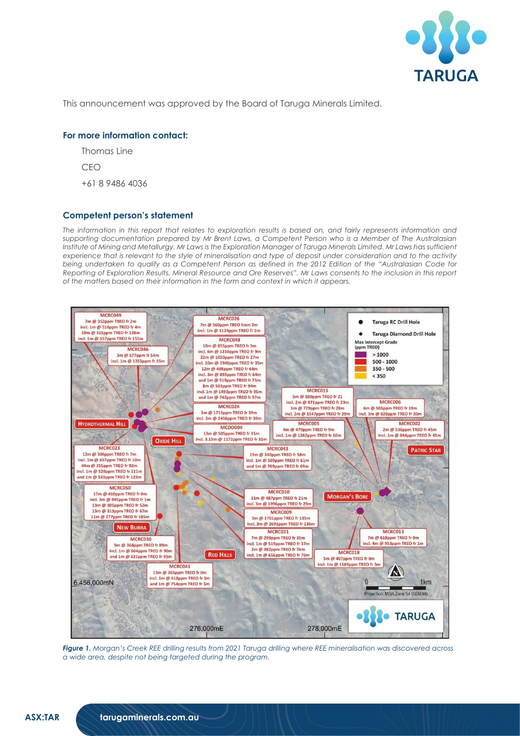

This announcement was approved by the Board of Taruga Minerals Limited.

#### **For more information contact:**

Thomas Line

CEO

+61 8 9486 4036

#### **Competent person's statement**

The information in this report that relates to exploration results is based on, and fairly represents information and *supporting documentation prepared by Mr Brent Laws, a Competent Person who is a Member of The Australasian Institute of Mining and Metallurgy. Mr Laws is the Exploration Manager of Taruga Minerals Limited. Mr Laws has sufficient experience that is relevant to the style of mineralisation and type of deposit under consideration and to the activity being undertaken to qualify as a Competent Person as defined in the 2012 Edition of the "Australasian Code for Reporting of Exploration Results, Mineral Resource and Ore Reserves". Mr Laws consents to the inclusion in this report of the matters based on their information in the form and context in which it appears.*



*Figure 1. Morgan's Creek REE drilling results from 2021 Taruga drilling where REE mineralisation was discovered across a wide area, despite not being targeted during the program.*